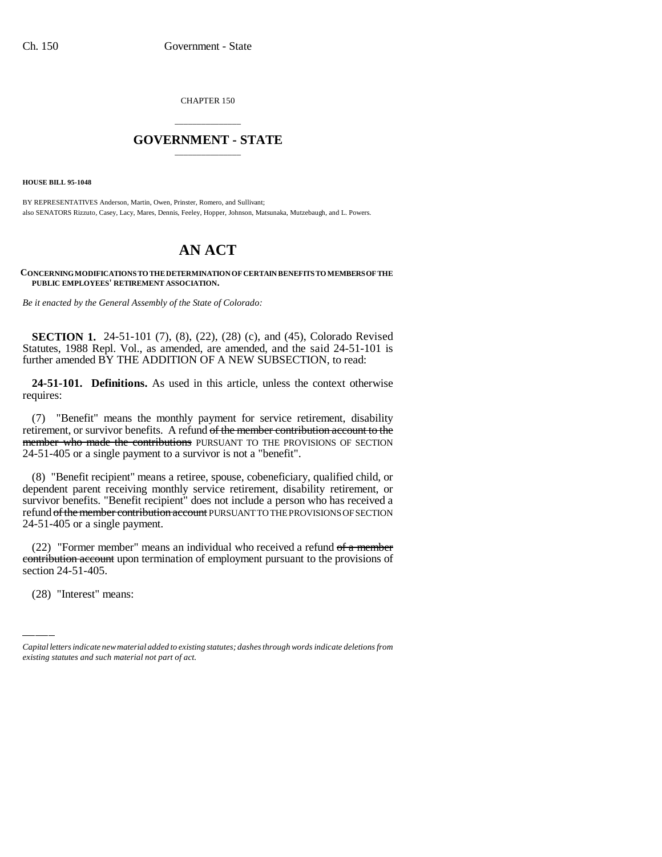CHAPTER 150

## \_\_\_\_\_\_\_\_\_\_\_\_\_\_\_ **GOVERNMENT - STATE** \_\_\_\_\_\_\_\_\_\_\_\_\_\_\_

**HOUSE BILL 95-1048**

BY REPRESENTATIVES Anderson, Martin, Owen, Prinster, Romero, and Sullivant; also SENATORS Rizzuto, Casey, Lacy, Mares, Dennis, Feeley, Hopper, Johnson, Matsunaka, Mutzebaugh, and L. Powers.

## **AN ACT**

**CONCERNING MODIFICATIONS TO THE DETERMINATION OF CERTAIN BENEFITS TO MEMBERS OF THE PUBLIC EMPLOYEES' RETIREMENT ASSOCIATION.**

*Be it enacted by the General Assembly of the State of Colorado:*

**SECTION 1.** 24-51-101 (7), (8), (22), (28) (c), and (45), Colorado Revised Statutes, 1988 Repl. Vol., as amended, are amended, and the said 24-51-101 is further amended BY THE ADDITION OF A NEW SUBSECTION, to read:

**24-51-101. Definitions.** As used in this article, unless the context otherwise requires:

(7) "Benefit" means the monthly payment for service retirement, disability retirement, or survivor benefits. A refund of the member contribution account to the member who made the contributions PURSUANT TO THE PROVISIONS OF SECTION 24-51-405 or a single payment to a survivor is not a "benefit".

(8) "Benefit recipient" means a retiree, spouse, cobeneficiary, qualified child, or dependent parent receiving monthly service retirement, disability retirement, or survivor benefits. "Benefit recipient" does not include a person who has received a refund of the member contribution account PURSUANT TO THE PROVISIONS OF SECTION 24-51-405 or a single payment.

 $(22)$  T of the Thermoet Theats an individual who received a refund of a filement experiment pursuant to the provisions of (22) "Former member" means an individual who received a refund  $f$  a member section 24-51-405.

(28) "Interest" means:

*Capital letters indicate new material added to existing statutes; dashes through words indicate deletions from existing statutes and such material not part of act.*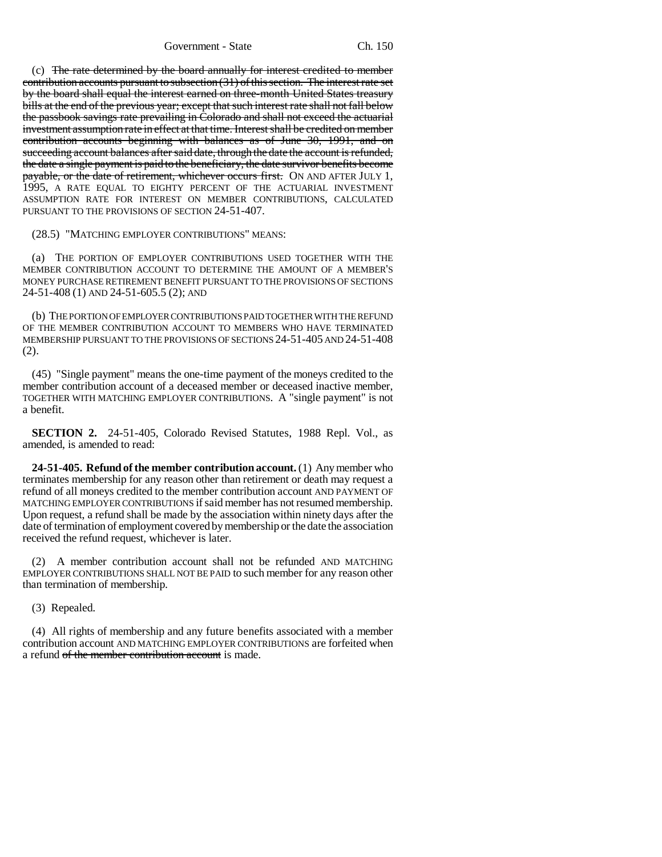(c) The rate determined by the board annually for interest credited to member contribution accounts pursuant to subsection (31) of this section. The interest rate set by the board shall equal the interest earned on three-month United States treasury bills at the end of the previous year; except that such interest rate shall not fall below the passbook savings rate prevailing in Colorado and shall not exceed the actuarial investment assumption rate in effect at that time. Interest shall be credited on member contribution accounts beginning with balances as of June 30, 1991, and on succeeding account balances after said date, through the date the account is refunded, the date a single payment is paid to the beneficiary, the date survivor benefits become payable, or the date of retirement, whichever occurs first. ON AND AFTER JULY 1, 1995, A RATE EQUAL TO EIGHTY PERCENT OF THE ACTUARIAL INVESTMENT ASSUMPTION RATE FOR INTEREST ON MEMBER CONTRIBUTIONS, CALCULATED PURSUANT TO THE PROVISIONS OF SECTION 24-51-407.

(28.5) "MATCHING EMPLOYER CONTRIBUTIONS" MEANS:

(a) THE PORTION OF EMPLOYER CONTRIBUTIONS USED TOGETHER WITH THE MEMBER CONTRIBUTION ACCOUNT TO DETERMINE THE AMOUNT OF A MEMBER'S MONEY PURCHASE RETIREMENT BENEFIT PURSUANT TO THE PROVISIONS OF SECTIONS 24-51-408 (1) AND 24-51-605.5 (2); AND

(b) THE PORTION OF EMPLOYER CONTRIBUTIONS PAID TOGETHER WITH THE REFUND OF THE MEMBER CONTRIBUTION ACCOUNT TO MEMBERS WHO HAVE TERMINATED MEMBERSHIP PURSUANT TO THE PROVISIONS OF SECTIONS 24-51-405 AND 24-51-408 (2).

(45) "Single payment" means the one-time payment of the moneys credited to the member contribution account of a deceased member or deceased inactive member, TOGETHER WITH MATCHING EMPLOYER CONTRIBUTIONS. A "single payment" is not a benefit.

**SECTION 2.** 24-51-405, Colorado Revised Statutes, 1988 Repl. Vol., as amended, is amended to read:

**24-51-405. Refund of the member contribution account.** (1) Any member who terminates membership for any reason other than retirement or death may request a refund of all moneys credited to the member contribution account AND PAYMENT OF MATCHING EMPLOYER CONTRIBUTIONS if said member has not resumed membership. Upon request, a refund shall be made by the association within ninety days after the date of termination of employment covered by membership or the date the association received the refund request, whichever is later.

(2) A member contribution account shall not be refunded AND MATCHING EMPLOYER CONTRIBUTIONS SHALL NOT BE PAID to such member for any reason other than termination of membership.

(3) Repealed.

(4) All rights of membership and any future benefits associated with a member contribution account AND MATCHING EMPLOYER CONTRIBUTIONS are forfeited when a refund of the member contribution account is made.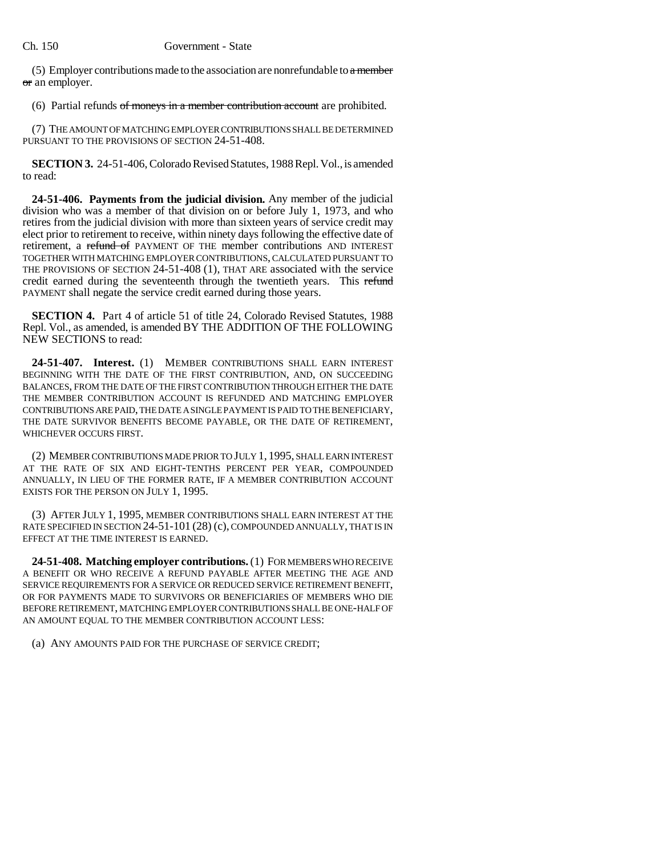(5) Employer contributions made to the association are nonrefundable to  $\alpha$  member or an employer.

(6) Partial refunds of moneys in a member contribution account are prohibited.

(7) THE AMOUNT OF MATCHING EMPLOYER CONTRIBUTIONS SHALL BE DETERMINED PURSUANT TO THE PROVISIONS OF SECTION 24-51-408.

**SECTION 3.** 24-51-406, Colorado Revised Statutes, 1988 Repl. Vol., is amended to read:

**24-51-406. Payments from the judicial division.** Any member of the judicial division who was a member of that division on or before July 1, 1973, and who retires from the judicial division with more than sixteen years of service credit may elect prior to retirement to receive, within ninety days following the effective date of retirement, a refund of PAYMENT OF THE member contributions AND INTEREST TOGETHER WITH MATCHING EMPLOYER CONTRIBUTIONS, CALCULATED PURSUANT TO THE PROVISIONS OF SECTION 24-51-408 (1), THAT ARE associated with the service credit earned during the seventeenth through the twentieth years. This refund PAYMENT shall negate the service credit earned during those years.

**SECTION 4.** Part 4 of article 51 of title 24, Colorado Revised Statutes, 1988 Repl. Vol., as amended, is amended BY THE ADDITION OF THE FOLLOWING NEW SECTIONS to read:

**24-51-407. Interest.** (1) MEMBER CONTRIBUTIONS SHALL EARN INTEREST BEGINNING WITH THE DATE OF THE FIRST CONTRIBUTION, AND, ON SUCCEEDING BALANCES, FROM THE DATE OF THE FIRST CONTRIBUTION THROUGH EITHER THE DATE THE MEMBER CONTRIBUTION ACCOUNT IS REFUNDED AND MATCHING EMPLOYER CONTRIBUTIONS ARE PAID, THE DATE A SINGLE PAYMENT IS PAID TO THE BENEFICIARY, THE DATE SURVIVOR BENEFITS BECOME PAYABLE, OR THE DATE OF RETIREMENT, WHICHEVER OCCURS FIRST.

(2) MEMBER CONTRIBUTIONS MADE PRIOR TO JULY 1, 1995, SHALL EARN INTEREST AT THE RATE OF SIX AND EIGHT-TENTHS PERCENT PER YEAR, COMPOUNDED ANNUALLY, IN LIEU OF THE FORMER RATE, IF A MEMBER CONTRIBUTION ACCOUNT EXISTS FOR THE PERSON ON JULY 1, 1995.

(3) AFTER JULY 1, 1995, MEMBER CONTRIBUTIONS SHALL EARN INTEREST AT THE RATE SPECIFIED IN SECTION 24-51-101 (28) (c), COMPOUNDED ANNUALLY, THAT IS IN EFFECT AT THE TIME INTEREST IS EARNED.

**24-51-408. Matching employer contributions.** (1) FOR MEMBERS WHO RECEIVE A BENEFIT OR WHO RECEIVE A REFUND PAYABLE AFTER MEETING THE AGE AND SERVICE REQUIREMENTS FOR A SERVICE OR REDUCED SERVICE RETIREMENT BENEFIT, OR FOR PAYMENTS MADE TO SURVIVORS OR BENEFICIARIES OF MEMBERS WHO DIE BEFORE RETIREMENT, MATCHING EMPLOYER CONTRIBUTIONS SHALL BE ONE-HALF OF AN AMOUNT EQUAL TO THE MEMBER CONTRIBUTION ACCOUNT LESS:

(a) ANY AMOUNTS PAID FOR THE PURCHASE OF SERVICE CREDIT;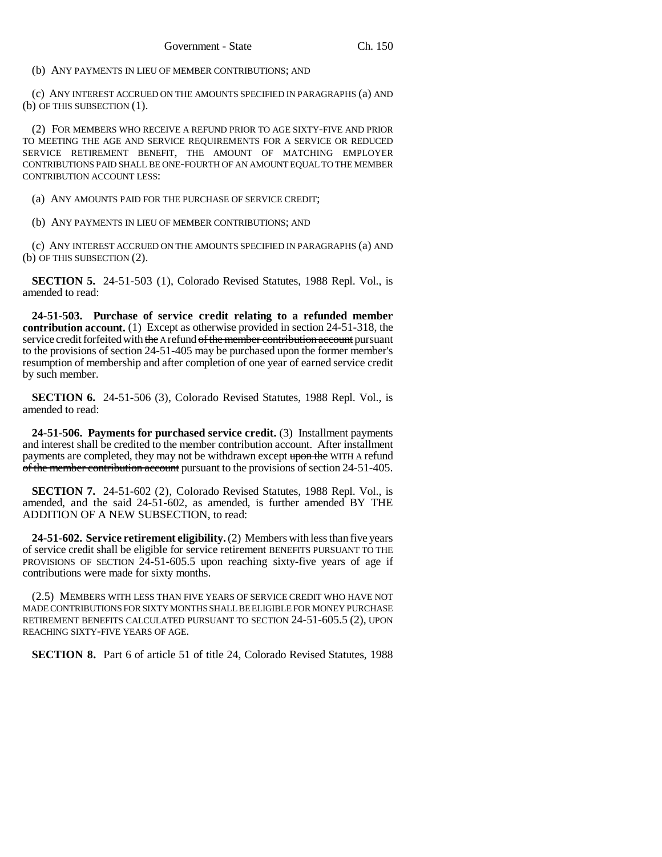(b) ANY PAYMENTS IN LIEU OF MEMBER CONTRIBUTIONS; AND

(c) ANY INTEREST ACCRUED ON THE AMOUNTS SPECIFIED IN PARAGRAPHS (a) AND (b) OF THIS SUBSECTION (1).

(2) FOR MEMBERS WHO RECEIVE A REFUND PRIOR TO AGE SIXTY-FIVE AND PRIOR TO MEETING THE AGE AND SERVICE REQUIREMENTS FOR A SERVICE OR REDUCED SERVICE RETIREMENT BENEFIT, THE AMOUNT OF MATCHING EMPLOYER CONTRIBUTIONS PAID SHALL BE ONE-FOURTH OF AN AMOUNT EQUAL TO THE MEMBER CONTRIBUTION ACCOUNT LESS:

(a) ANY AMOUNTS PAID FOR THE PURCHASE OF SERVICE CREDIT;

(b) ANY PAYMENTS IN LIEU OF MEMBER CONTRIBUTIONS; AND

(c) ANY INTEREST ACCRUED ON THE AMOUNTS SPECIFIED IN PARAGRAPHS (a) AND (b) OF THIS SUBSECTION (2).

**SECTION 5.** 24-51-503 (1), Colorado Revised Statutes, 1988 Repl. Vol., is amended to read:

**24-51-503. Purchase of service credit relating to a refunded member contribution account.** (1) Except as otherwise provided in section 24-51-318, the service credit forfeited with the A refund of the member contribution account pursuant to the provisions of section 24-51-405 may be purchased upon the former member's resumption of membership and after completion of one year of earned service credit by such member.

**SECTION 6.** 24-51-506 (3), Colorado Revised Statutes, 1988 Repl. Vol., is amended to read:

**24-51-506. Payments for purchased service credit.** (3) Installment payments and interest shall be credited to the member contribution account. After installment payments are completed, they may not be withdrawn except upon the WITH A refund of the member contribution account pursuant to the provisions of section 24-51-405.

**SECTION 7.** 24-51-602 (2), Colorado Revised Statutes, 1988 Repl. Vol., is amended, and the said 24-51-602, as amended, is further amended BY THE ADDITION OF A NEW SUBSECTION, to read:

**24-51-602. Service retirement eligibility.** (2) Members with less than five years of service credit shall be eligible for service retirement BENEFITS PURSUANT TO THE PROVISIONS OF SECTION 24-51-605.5 upon reaching sixty-five years of age if contributions were made for sixty months.

(2.5) MEMBERS WITH LESS THAN FIVE YEARS OF SERVICE CREDIT WHO HAVE NOT MADE CONTRIBUTIONS FOR SIXTY MONTHS SHALL BE ELIGIBLE FOR MONEY PURCHASE RETIREMENT BENEFITS CALCULATED PURSUANT TO SECTION 24-51-605.5 (2), UPON REACHING SIXTY-FIVE YEARS OF AGE.

**SECTION 8.** Part 6 of article 51 of title 24, Colorado Revised Statutes, 1988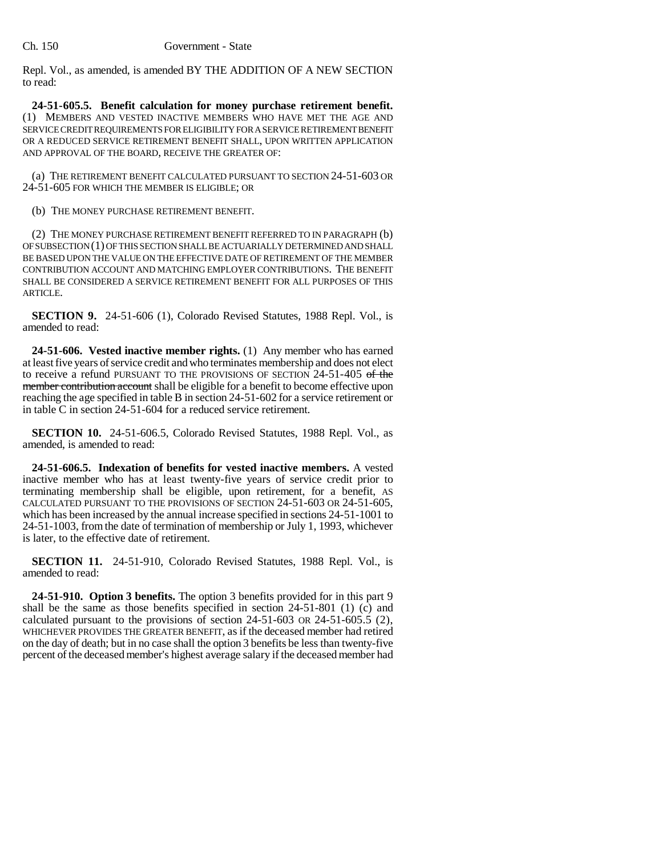Repl. Vol., as amended, is amended BY THE ADDITION OF A NEW SECTION to read:

**24-51-605.5. Benefit calculation for money purchase retirement benefit.** (1) MEMBERS AND VESTED INACTIVE MEMBERS WHO HAVE MET THE AGE AND SERVICE CREDIT REQUIREMENTS FOR ELIGIBILITY FOR A SERVICE RETIREMENT BENEFIT OR A REDUCED SERVICE RETIREMENT BENEFIT SHALL, UPON WRITTEN APPLICATION AND APPROVAL OF THE BOARD, RECEIVE THE GREATER OF:

(a) THE RETIREMENT BENEFIT CALCULATED PURSUANT TO SECTION 24-51-603 OR 24-51-605 FOR WHICH THE MEMBER IS ELIGIBLE; OR

(b) THE MONEY PURCHASE RETIREMENT BENEFIT.

(2) THE MONEY PURCHASE RETIREMENT BENEFIT REFERRED TO IN PARAGRAPH (b) OF SUBSECTION (1) OF THIS SECTION SHALL BE ACTUARIALLY DETERMINED AND SHALL BE BASED UPON THE VALUE ON THE EFFECTIVE DATE OF RETIREMENT OF THE MEMBER CONTRIBUTION ACCOUNT AND MATCHING EMPLOYER CONTRIBUTIONS. THE BENEFIT SHALL BE CONSIDERED A SERVICE RETIREMENT BENEFIT FOR ALL PURPOSES OF THIS ARTICLE.

**SECTION 9.** 24-51-606 (1), Colorado Revised Statutes, 1988 Repl. Vol., is amended to read:

**24-51-606. Vested inactive member rights.** (1) Any member who has earned at least five years of service credit and who terminates membership and does not elect to receive a refund PURSUANT TO THE PROVISIONS OF SECTION 24-51-405 of the member contribution account shall be eligible for a benefit to become effective upon reaching the age specified in table B in section 24-51-602 for a service retirement or in table C in section 24-51-604 for a reduced service retirement.

**SECTION 10.** 24-51-606.5, Colorado Revised Statutes, 1988 Repl. Vol., as amended, is amended to read:

**24-51-606.5. Indexation of benefits for vested inactive members.** A vested inactive member who has at least twenty-five years of service credit prior to terminating membership shall be eligible, upon retirement, for a benefit, AS CALCULATED PURSUANT TO THE PROVISIONS OF SECTION 24-51-603 OR 24-51-605, which has been increased by the annual increase specified in sections 24-51-1001 to 24-51-1003, from the date of termination of membership or July 1, 1993, whichever is later, to the effective date of retirement.

**SECTION 11.** 24-51-910, Colorado Revised Statutes, 1988 Repl. Vol., is amended to read:

**24-51-910. Option 3 benefits.** The option 3 benefits provided for in this part 9 shall be the same as those benefits specified in section 24-51-801 (1) (c) and calculated pursuant to the provisions of section 24-51-603 OR 24-51-605.5 (2), WHICHEVER PROVIDES THE GREATER BENEFIT, as if the deceased member had retired on the day of death; but in no case shall the option 3 benefits be less than twenty-five percent of the deceased member's highest average salary if the deceased member had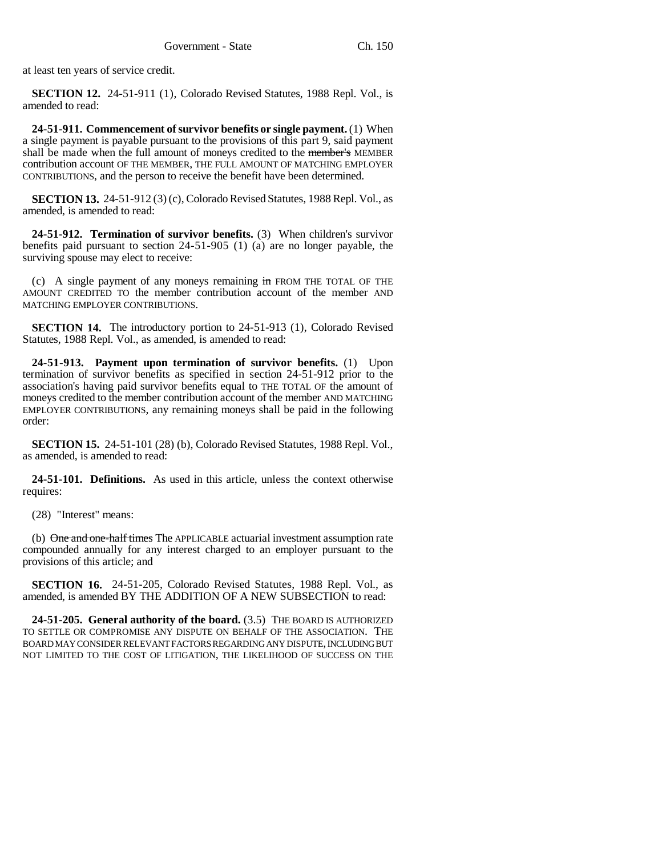at least ten years of service credit.

**SECTION 12.** 24-51-911 (1), Colorado Revised Statutes, 1988 Repl. Vol., is amended to read:

**24-51-911. Commencement of survivor benefits or single payment.** (1) When a single payment is payable pursuant to the provisions of this part 9, said payment shall be made when the full amount of moneys credited to the member's MEMBER contribution account OF THE MEMBER, THE FULL AMOUNT OF MATCHING EMPLOYER CONTRIBUTIONS, and the person to receive the benefit have been determined.

**SECTION 13.** 24-51-912 (3) (c), Colorado Revised Statutes, 1988 Repl. Vol., as amended, is amended to read:

**24-51-912. Termination of survivor benefits.** (3) When children's survivor benefits paid pursuant to section 24-51-905 (1) (a) are no longer payable, the surviving spouse may elect to receive:

(c) A single payment of any moneys remaining in FROM THE TOTAL OF THE AMOUNT CREDITED TO the member contribution account of the member AND MATCHING EMPLOYER CONTRIBUTIONS.

**SECTION 14.** The introductory portion to 24-51-913 (1), Colorado Revised Statutes, 1988 Repl. Vol., as amended, is amended to read:

**24-51-913. Payment upon termination of survivor benefits.** (1) Upon termination of survivor benefits as specified in section 24-51-912 prior to the association's having paid survivor benefits equal to THE TOTAL OF the amount of moneys credited to the member contribution account of the member AND MATCHING EMPLOYER CONTRIBUTIONS, any remaining moneys shall be paid in the following order:

**SECTION 15.** 24-51-101 (28) (b), Colorado Revised Statutes, 1988 Repl. Vol., as amended, is amended to read:

**24-51-101. Definitions.** As used in this article, unless the context otherwise requires:

(28) "Interest" means:

(b) One and one-half times The APPLICABLE actuarial investment assumption rate compounded annually for any interest charged to an employer pursuant to the provisions of this article; and

**SECTION 16.** 24-51-205, Colorado Revised Statutes, 1988 Repl. Vol., as amended, is amended BY THE ADDITION OF A NEW SUBSECTION to read:

**24-51-205. General authority of the board.** (3.5) THE BOARD IS AUTHORIZED TO SETTLE OR COMPROMISE ANY DISPUTE ON BEHALF OF THE ASSOCIATION. THE BOARD MAY CONSIDER RELEVANT FACTORS REGARDING ANY DISPUTE, INCLUDING BUT NOT LIMITED TO THE COST OF LITIGATION, THE LIKELIHOOD OF SUCCESS ON THE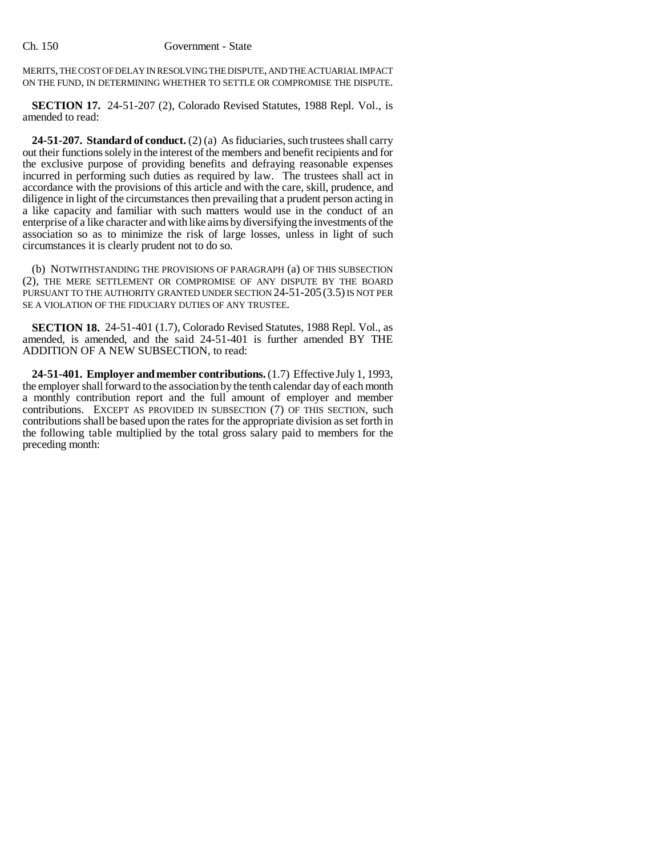MERITS, THE COST OF DELAY IN RESOLVING THE DISPUTE, AND THE ACTUARIAL IMPACT ON THE FUND, IN DETERMINING WHETHER TO SETTLE OR COMPROMISE THE DISPUTE.

**SECTION 17.** 24-51-207 (2), Colorado Revised Statutes, 1988 Repl. Vol., is amended to read:

**24-51-207. Standard of conduct.** (2) (a) As fiduciaries, such trustees shall carry out their functions solely in the interest of the members and benefit recipients and for the exclusive purpose of providing benefits and defraying reasonable expenses incurred in performing such duties as required by law. The trustees shall act in accordance with the provisions of this article and with the care, skill, prudence, and diligence in light of the circumstances then prevailing that a prudent person acting in a like capacity and familiar with such matters would use in the conduct of an enterprise of a like character and with like aims by diversifying the investments of the association so as to minimize the risk of large losses, unless in light of such circumstances it is clearly prudent not to do so.

(b) NOTWITHSTANDING THE PROVISIONS OF PARAGRAPH (a) OF THIS SUBSECTION (2), THE MERE SETTLEMENT OR COMPROMISE OF ANY DISPUTE BY THE BOARD PURSUANT TO THE AUTHORITY GRANTED UNDER SECTION 24-51-205 (3.5) IS NOT PER SE A VIOLATION OF THE FIDUCIARY DUTIES OF ANY TRUSTEE.

**SECTION 18.** 24-51-401 (1.7), Colorado Revised Statutes, 1988 Repl. Vol., as amended, is amended, and the said 24-51-401 is further amended BY THE ADDITION OF A NEW SUBSECTION, to read:

**24-51-401. Employer and member contributions.** (1.7) Effective July 1, 1993, the employer shall forward to the association by the tenth calendar day of each month a monthly contribution report and the full amount of employer and member contributions. EXCEPT AS PROVIDED IN SUBSECTION (7) OF THIS SECTION, such contributions shall be based upon the rates for the appropriate division as set forth in the following table multiplied by the total gross salary paid to members for the preceding month: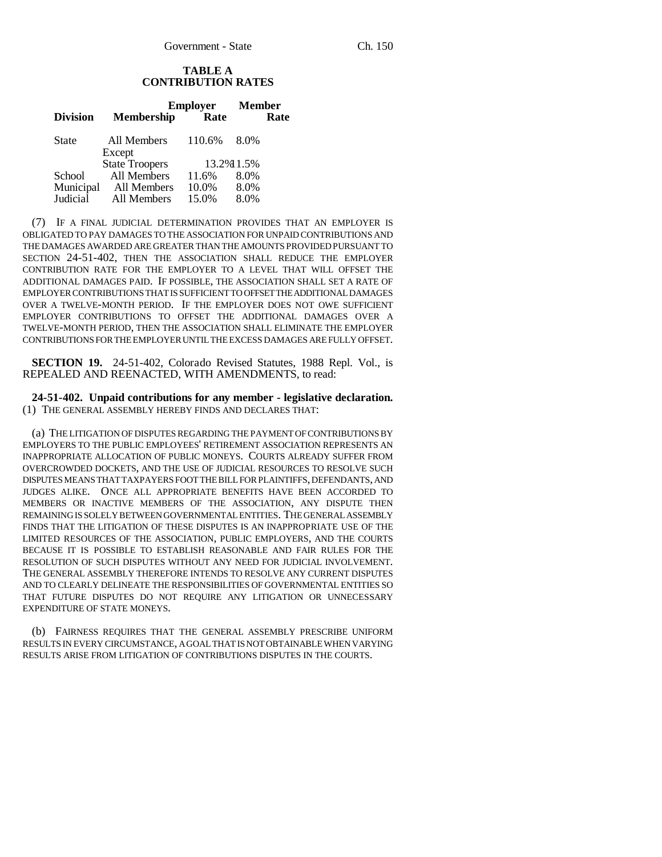## **TABLE A CONTRIBUTION RATES**

|                 |                       | <b>Employer</b> | <b>Member</b> |
|-----------------|-----------------------|-----------------|---------------|
| <b>Division</b> | <b>Membership</b>     | Rate            | Rate          |
| State           | All Members<br>Except | 110.6%          | 8.0%          |
|                 | <b>State Troopers</b> |                 | 13.2% 1.5%    |
| School          | All Members           | 11.6%           | 8.0%          |
| Municipal       | All Members           | 10.0%           | 8.0%          |
| Judicial        | All Members           | 15.0%           | 8.0%          |

(7) IF A FINAL JUDICIAL DETERMINATION PROVIDES THAT AN EMPLOYER IS OBLIGATED TO PAY DAMAGES TO THE ASSOCIATION FOR UNPAID CONTRIBUTIONS AND THE DAMAGES AWARDED ARE GREATER THAN THE AMOUNTS PROVIDED PURSUANT TO SECTION 24-51-402, THEN THE ASSOCIATION SHALL REDUCE THE EMPLOYER CONTRIBUTION RATE FOR THE EMPLOYER TO A LEVEL THAT WILL OFFSET THE ADDITIONAL DAMAGES PAID. IF POSSIBLE, THE ASSOCIATION SHALL SET A RATE OF EMPLOYER CONTRIBUTIONS THAT IS SUFFICIENT TO OFFSET THE ADDITIONAL DAMAGES OVER A TWELVE-MONTH PERIOD. IF THE EMPLOYER DOES NOT OWE SUFFICIENT EMPLOYER CONTRIBUTIONS TO OFFSET THE ADDITIONAL DAMAGES OVER A TWELVE-MONTH PERIOD, THEN THE ASSOCIATION SHALL ELIMINATE THE EMPLOYER CONTRIBUTIONS FOR THE EMPLOYER UNTIL THE EXCESS DAMAGES ARE FULLY OFFSET.

**SECTION 19.** 24-51-402, Colorado Revised Statutes, 1988 Repl. Vol., is REPEALED AND REENACTED, WITH AMENDMENTS, to read:

**24-51-402. Unpaid contributions for any member - legislative declaration.** (1) THE GENERAL ASSEMBLY HEREBY FINDS AND DECLARES THAT:

(a) THE LITIGATION OF DISPUTES REGARDING THE PAYMENT OF CONTRIBUTIONS BY EMPLOYERS TO THE PUBLIC EMPLOYEES' RETIREMENT ASSOCIATION REPRESENTS AN INAPPROPRIATE ALLOCATION OF PUBLIC MONEYS. COURTS ALREADY SUFFER FROM OVERCROWDED DOCKETS, AND THE USE OF JUDICIAL RESOURCES TO RESOLVE SUCH DISPUTES MEANS THAT TAXPAYERS FOOT THE BILL FOR PLAINTIFFS, DEFENDANTS, AND JUDGES ALIKE. ONCE ALL APPROPRIATE BENEFITS HAVE BEEN ACCORDED TO MEMBERS OR INACTIVE MEMBERS OF THE ASSOCIATION, ANY DISPUTE THEN REMAINING IS SOLELY BETWEEN GOVERNMENTAL ENTITIES. THE GENERAL ASSEMBLY FINDS THAT THE LITIGATION OF THESE DISPUTES IS AN INAPPROPRIATE USE OF THE LIMITED RESOURCES OF THE ASSOCIATION, PUBLIC EMPLOYERS, AND THE COURTS BECAUSE IT IS POSSIBLE TO ESTABLISH REASONABLE AND FAIR RULES FOR THE RESOLUTION OF SUCH DISPUTES WITHOUT ANY NEED FOR JUDICIAL INVOLVEMENT. THE GENERAL ASSEMBLY THEREFORE INTENDS TO RESOLVE ANY CURRENT DISPUTES AND TO CLEARLY DELINEATE THE RESPONSIBILITIES OF GOVERNMENTAL ENTITIES SO THAT FUTURE DISPUTES DO NOT REQUIRE ANY LITIGATION OR UNNECESSARY EXPENDITURE OF STATE MONEYS.

(b) FAIRNESS REQUIRES THAT THE GENERAL ASSEMBLY PRESCRIBE UNIFORM RESULTS IN EVERY CIRCUMSTANCE, A GOAL THAT IS NOT OBTAINABLE WHEN VARYING RESULTS ARISE FROM LITIGATION OF CONTRIBUTIONS DISPUTES IN THE COURTS.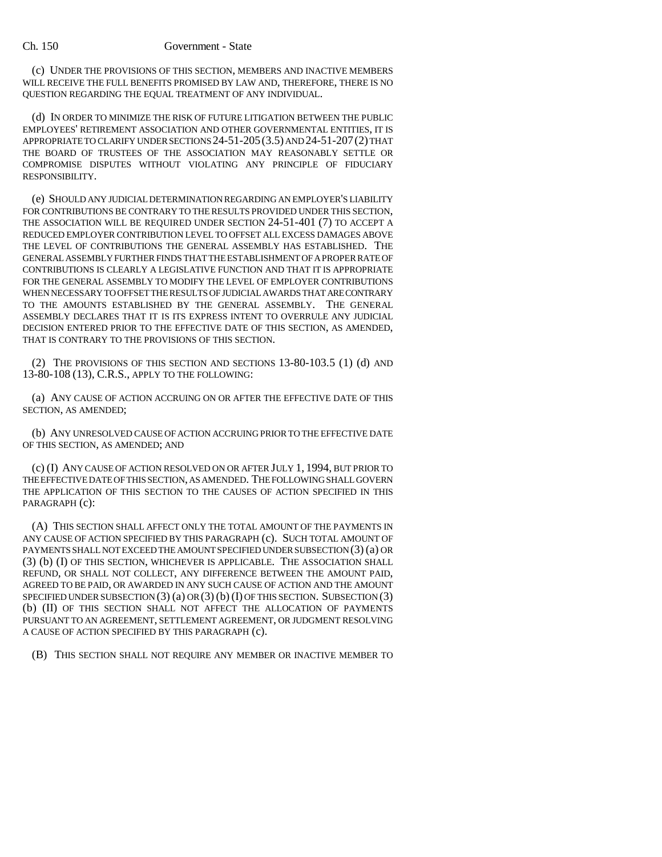(c) UNDER THE PROVISIONS OF THIS SECTION, MEMBERS AND INACTIVE MEMBERS WILL RECEIVE THE FULL BENEFITS PROMISED BY LAW AND, THEREFORE, THERE IS NO QUESTION REGARDING THE EQUAL TREATMENT OF ANY INDIVIDUAL.

(d) IN ORDER TO MINIMIZE THE RISK OF FUTURE LITIGATION BETWEEN THE PUBLIC EMPLOYEES' RETIREMENT ASSOCIATION AND OTHER GOVERNMENTAL ENTITIES, IT IS APPROPRIATE TO CLARIFY UNDER SECTIONS 24-51-205(3.5) AND 24-51-207(2) THAT THE BOARD OF TRUSTEES OF THE ASSOCIATION MAY REASONABLY SETTLE OR COMPROMISE DISPUTES WITHOUT VIOLATING ANY PRINCIPLE OF FIDUCIARY RESPONSIBILITY.

(e) SHOULD ANY JUDICIAL DETERMINATION REGARDING AN EMPLOYER'S LIABILITY FOR CONTRIBUTIONS BE CONTRARY TO THE RESULTS PROVIDED UNDER THIS SECTION, THE ASSOCIATION WILL BE REQUIRED UNDER SECTION 24-51-401 (7) TO ACCEPT A REDUCED EMPLOYER CONTRIBUTION LEVEL TO OFFSET ALL EXCESS DAMAGES ABOVE THE LEVEL OF CONTRIBUTIONS THE GENERAL ASSEMBLY HAS ESTABLISHED. THE GENERAL ASSEMBLY FURTHER FINDS THAT THE ESTABLISHMENT OF A PROPER RATE OF CONTRIBUTIONS IS CLEARLY A LEGISLATIVE FUNCTION AND THAT IT IS APPROPRIATE FOR THE GENERAL ASSEMBLY TO MODIFY THE LEVEL OF EMPLOYER CONTRIBUTIONS WHEN NECESSARY TO OFFSET THE RESULTS OF JUDICIAL AWARDS THAT ARE CONTRARY TO THE AMOUNTS ESTABLISHED BY THE GENERAL ASSEMBLY. THE GENERAL ASSEMBLY DECLARES THAT IT IS ITS EXPRESS INTENT TO OVERRULE ANY JUDICIAL DECISION ENTERED PRIOR TO THE EFFECTIVE DATE OF THIS SECTION, AS AMENDED, THAT IS CONTRARY TO THE PROVISIONS OF THIS SECTION.

(2) THE PROVISIONS OF THIS SECTION AND SECTIONS 13-80-103.5 (1) (d) AND 13-80-108 (13), C.R.S., APPLY TO THE FOLLOWING:

(a) ANY CAUSE OF ACTION ACCRUING ON OR AFTER THE EFFECTIVE DATE OF THIS SECTION, AS AMENDED;

(b) ANY UNRESOLVED CAUSE OF ACTION ACCRUING PRIOR TO THE EFFECTIVE DATE OF THIS SECTION, AS AMENDED; AND

(c) (I) ANY CAUSE OF ACTION RESOLVED ON OR AFTER JULY 1, 1994, BUT PRIOR TO THE EFFECTIVE DATE OF THIS SECTION, AS AMENDED. THE FOLLOWING SHALL GOVERN THE APPLICATION OF THIS SECTION TO THE CAUSES OF ACTION SPECIFIED IN THIS PARAGRAPH (c):

(A) THIS SECTION SHALL AFFECT ONLY THE TOTAL AMOUNT OF THE PAYMENTS IN ANY CAUSE OF ACTION SPECIFIED BY THIS PARAGRAPH (c). SUCH TOTAL AMOUNT OF PAYMENTS SHALL NOT EXCEED THE AMOUNT SPECIFIED UNDER SUBSECTION (3) (a) OR (3) (b) (I) OF THIS SECTION, WHICHEVER IS APPLICABLE. THE ASSOCIATION SHALL REFUND, OR SHALL NOT COLLECT, ANY DIFFERENCE BETWEEN THE AMOUNT PAID, AGREED TO BE PAID, OR AWARDED IN ANY SUCH CAUSE OF ACTION AND THE AMOUNT SPECIFIED UNDER SUBSECTION  $(3)$   $(a)$  or  $(3)$   $(b)$   $(I)$  of this section. Subsection  $(3)$ (b) (II) OF THIS SECTION SHALL NOT AFFECT THE ALLOCATION OF PAYMENTS PURSUANT TO AN AGREEMENT, SETTLEMENT AGREEMENT, OR JUDGMENT RESOLVING A CAUSE OF ACTION SPECIFIED BY THIS PARAGRAPH (c).

(B) THIS SECTION SHALL NOT REQUIRE ANY MEMBER OR INACTIVE MEMBER TO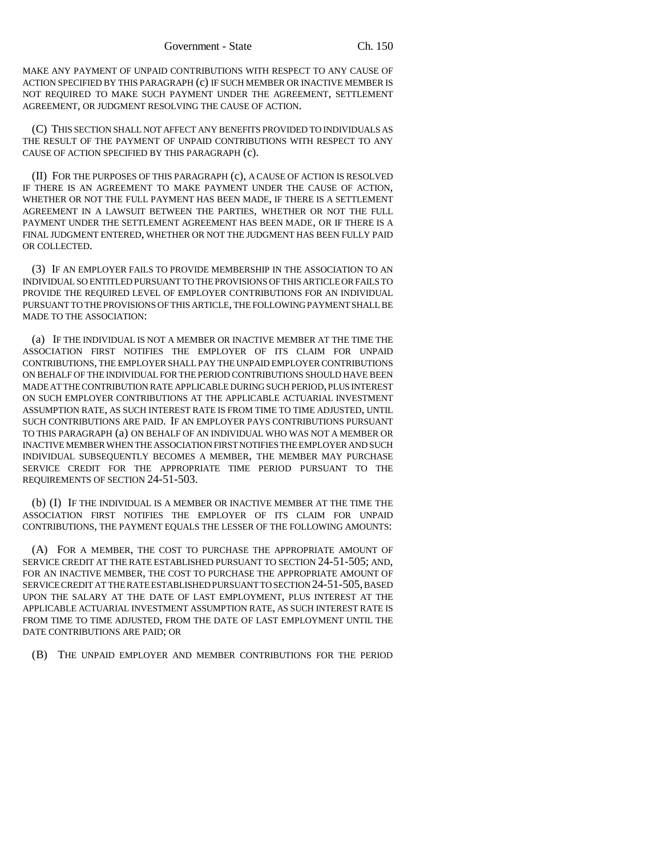MAKE ANY PAYMENT OF UNPAID CONTRIBUTIONS WITH RESPECT TO ANY CAUSE OF ACTION SPECIFIED BY THIS PARAGRAPH (c) IF SUCH MEMBER OR INACTIVE MEMBER IS NOT REQUIRED TO MAKE SUCH PAYMENT UNDER THE AGREEMENT, SETTLEMENT AGREEMENT, OR JUDGMENT RESOLVING THE CAUSE OF ACTION.

(C) THIS SECTION SHALL NOT AFFECT ANY BENEFITS PROVIDED TO INDIVIDUALS AS THE RESULT OF THE PAYMENT OF UNPAID CONTRIBUTIONS WITH RESPECT TO ANY CAUSE OF ACTION SPECIFIED BY THIS PARAGRAPH (c).

(II) FOR THE PURPOSES OF THIS PARAGRAPH (c), A CAUSE OF ACTION IS RESOLVED IF THERE IS AN AGREEMENT TO MAKE PAYMENT UNDER THE CAUSE OF ACTION, WHETHER OR NOT THE FULL PAYMENT HAS BEEN MADE, IF THERE IS A SETTLEMENT AGREEMENT IN A LAWSUIT BETWEEN THE PARTIES, WHETHER OR NOT THE FULL PAYMENT UNDER THE SETTLEMENT AGREEMENT HAS BEEN MADE, OR IF THERE IS A FINAL JUDGMENT ENTERED, WHETHER OR NOT THE JUDGMENT HAS BEEN FULLY PAID OR COLLECTED.

(3) IF AN EMPLOYER FAILS TO PROVIDE MEMBERSHIP IN THE ASSOCIATION TO AN INDIVIDUAL SO ENTITLED PURSUANT TO THE PROVISIONS OF THIS ARTICLE OR FAILS TO PROVIDE THE REQUIRED LEVEL OF EMPLOYER CONTRIBUTIONS FOR AN INDIVIDUAL PURSUANT TO THE PROVISIONS OF THIS ARTICLE, THE FOLLOWING PAYMENT SHALL BE MADE TO THE ASSOCIATION:

(a) IF THE INDIVIDUAL IS NOT A MEMBER OR INACTIVE MEMBER AT THE TIME THE ASSOCIATION FIRST NOTIFIES THE EMPLOYER OF ITS CLAIM FOR UNPAID CONTRIBUTIONS, THE EMPLOYER SHALL PAY THE UNPAID EMPLOYER CONTRIBUTIONS ON BEHALF OF THE INDIVIDUAL FOR THE PERIOD CONTRIBUTIONS SHOULD HAVE BEEN MADE AT THE CONTRIBUTION RATE APPLICABLE DURING SUCH PERIOD, PLUS INTEREST ON SUCH EMPLOYER CONTRIBUTIONS AT THE APPLICABLE ACTUARIAL INVESTMENT ASSUMPTION RATE, AS SUCH INTEREST RATE IS FROM TIME TO TIME ADJUSTED, UNTIL SUCH CONTRIBUTIONS ARE PAID. IF AN EMPLOYER PAYS CONTRIBUTIONS PURSUANT TO THIS PARAGRAPH (a) ON BEHALF OF AN INDIVIDUAL WHO WAS NOT A MEMBER OR INACTIVE MEMBER WHEN THE ASSOCIATION FIRST NOTIFIES THE EMPLOYER AND SUCH INDIVIDUAL SUBSEQUENTLY BECOMES A MEMBER, THE MEMBER MAY PURCHASE SERVICE CREDIT FOR THE APPROPRIATE TIME PERIOD PURSUANT TO THE REQUIREMENTS OF SECTION 24-51-503.

(b) (I) IF THE INDIVIDUAL IS A MEMBER OR INACTIVE MEMBER AT THE TIME THE ASSOCIATION FIRST NOTIFIES THE EMPLOYER OF ITS CLAIM FOR UNPAID CONTRIBUTIONS, THE PAYMENT EQUALS THE LESSER OF THE FOLLOWING AMOUNTS:

(A) FOR A MEMBER, THE COST TO PURCHASE THE APPROPRIATE AMOUNT OF SERVICE CREDIT AT THE RATE ESTABLISHED PURSUANT TO SECTION 24-51-505; AND, FOR AN INACTIVE MEMBER, THE COST TO PURCHASE THE APPROPRIATE AMOUNT OF SERVICE CREDIT AT THE RATE ESTABLISHED PURSUANT TO SECTION 24-51-505, BASED UPON THE SALARY AT THE DATE OF LAST EMPLOYMENT, PLUS INTEREST AT THE APPLICABLE ACTUARIAL INVESTMENT ASSUMPTION RATE, AS SUCH INTEREST RATE IS FROM TIME TO TIME ADJUSTED, FROM THE DATE OF LAST EMPLOYMENT UNTIL THE DATE CONTRIBUTIONS ARE PAID; OR

(B) THE UNPAID EMPLOYER AND MEMBER CONTRIBUTIONS FOR THE PERIOD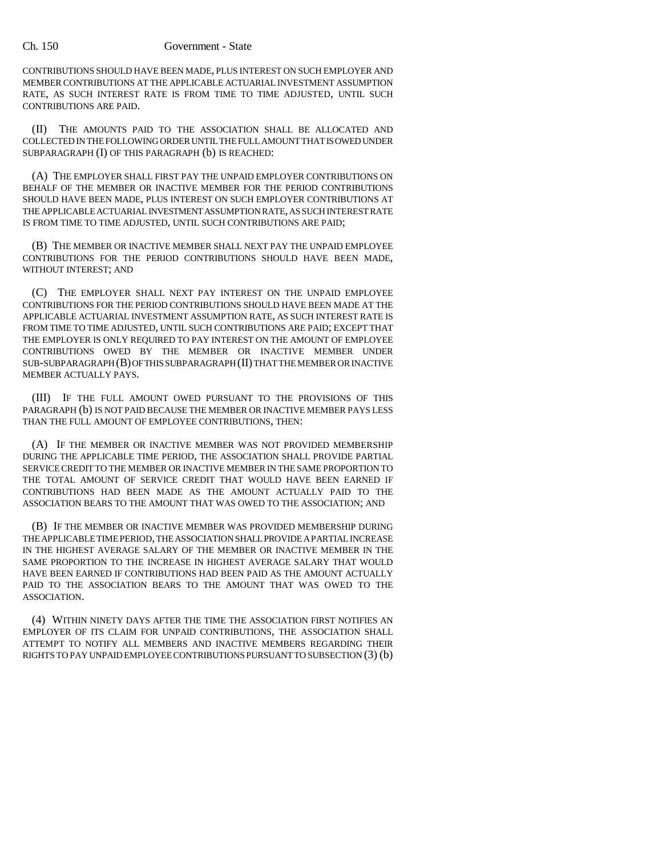## Ch. 150 Government - State

CONTRIBUTIONS SHOULD HAVE BEEN MADE, PLUS INTEREST ON SUCH EMPLOYER AND MEMBER CONTRIBUTIONS AT THE APPLICABLE ACTUARIAL INVESTMENT ASSUMPTION RATE, AS SUCH INTEREST RATE IS FROM TIME TO TIME ADJUSTED, UNTIL SUCH CONTRIBUTIONS ARE PAID.

(II) THE AMOUNTS PAID TO THE ASSOCIATION SHALL BE ALLOCATED AND COLLECTED IN THE FOLLOWING ORDER UNTIL THE FULL AMOUNT THAT IS OWED UNDER SUBPARAGRAPH (I) OF THIS PARAGRAPH (b) IS REACHED:

(A) THE EMPLOYER SHALL FIRST PAY THE UNPAID EMPLOYER CONTRIBUTIONS ON BEHALF OF THE MEMBER OR INACTIVE MEMBER FOR THE PERIOD CONTRIBUTIONS SHOULD HAVE BEEN MADE, PLUS INTEREST ON SUCH EMPLOYER CONTRIBUTIONS AT THE APPLICABLE ACTUARIAL INVESTMENT ASSUMPTION RATE, AS SUCH INTEREST RATE IS FROM TIME TO TIME ADJUSTED, UNTIL SUCH CONTRIBUTIONS ARE PAID;

(B) THE MEMBER OR INACTIVE MEMBER SHALL NEXT PAY THE UNPAID EMPLOYEE CONTRIBUTIONS FOR THE PERIOD CONTRIBUTIONS SHOULD HAVE BEEN MADE, WITHOUT INTEREST; AND

(C) THE EMPLOYER SHALL NEXT PAY INTEREST ON THE UNPAID EMPLOYEE CONTRIBUTIONS FOR THE PERIOD CONTRIBUTIONS SHOULD HAVE BEEN MADE AT THE APPLICABLE ACTUARIAL INVESTMENT ASSUMPTION RATE, AS SUCH INTEREST RATE IS FROM TIME TO TIME ADJUSTED, UNTIL SUCH CONTRIBUTIONS ARE PAID; EXCEPT THAT THE EMPLOYER IS ONLY REQUIRED TO PAY INTEREST ON THE AMOUNT OF EMPLOYEE CONTRIBUTIONS OWED BY THE MEMBER OR INACTIVE MEMBER UNDER SUB-SUBPARAGRAPH (B) OF THIS SUBPARAGRAPH (II) THAT THE MEMBER OR INACTIVE MEMBER ACTUALLY PAYS.

(III) IF THE FULL AMOUNT OWED PURSUANT TO THE PROVISIONS OF THIS PARAGRAPH (b) IS NOT PAID BECAUSE THE MEMBER OR INACTIVE MEMBER PAYS LESS THAN THE FULL AMOUNT OF EMPLOYEE CONTRIBUTIONS, THEN:

(A) IF THE MEMBER OR INACTIVE MEMBER WAS NOT PROVIDED MEMBERSHIP DURING THE APPLICABLE TIME PERIOD, THE ASSOCIATION SHALL PROVIDE PARTIAL SERVICE CREDIT TO THE MEMBER OR INACTIVE MEMBER IN THE SAME PROPORTION TO THE TOTAL AMOUNT OF SERVICE CREDIT THAT WOULD HAVE BEEN EARNED IF CONTRIBUTIONS HAD BEEN MADE AS THE AMOUNT ACTUALLY PAID TO THE ASSOCIATION BEARS TO THE AMOUNT THAT WAS OWED TO THE ASSOCIATION; AND

(B) IF THE MEMBER OR INACTIVE MEMBER WAS PROVIDED MEMBERSHIP DURING THE APPLICABLE TIME PERIOD, THE ASSOCIATION SHALL PROVIDE A PARTIAL INCREASE IN THE HIGHEST AVERAGE SALARY OF THE MEMBER OR INACTIVE MEMBER IN THE SAME PROPORTION TO THE INCREASE IN HIGHEST AVERAGE SALARY THAT WOULD HAVE BEEN EARNED IF CONTRIBUTIONS HAD BEEN PAID AS THE AMOUNT ACTUALLY PAID TO THE ASSOCIATION BEARS TO THE AMOUNT THAT WAS OWED TO THE ASSOCIATION.

(4) WITHIN NINETY DAYS AFTER THE TIME THE ASSOCIATION FIRST NOTIFIES AN EMPLOYER OF ITS CLAIM FOR UNPAID CONTRIBUTIONS, THE ASSOCIATION SHALL ATTEMPT TO NOTIFY ALL MEMBERS AND INACTIVE MEMBERS REGARDING THEIR RIGHTS TO PAY UNPAID EMPLOYEE CONTRIBUTIONS PURSUANT TO SUBSECTION (3) (b)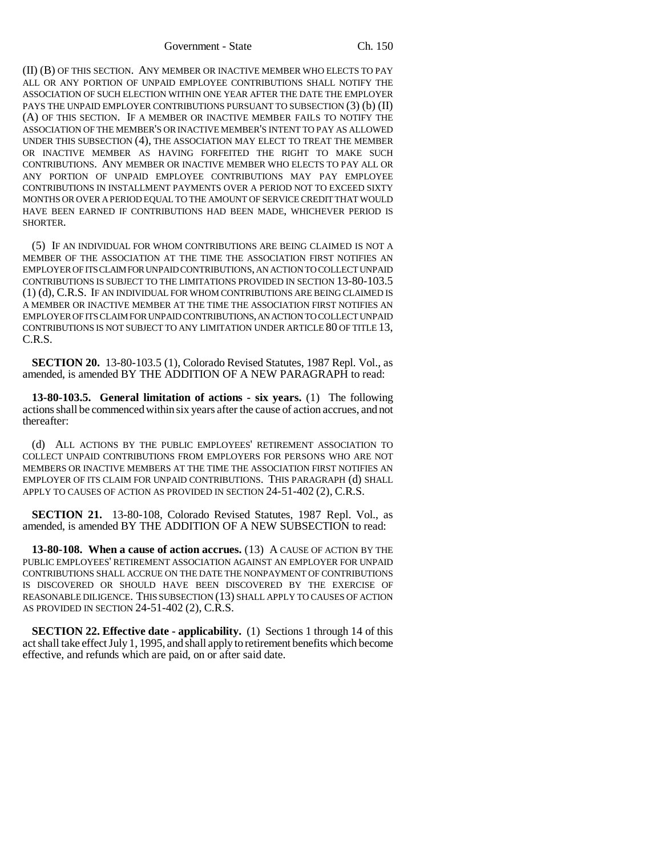(II) (B) OF THIS SECTION. ANY MEMBER OR INACTIVE MEMBER WHO ELECTS TO PAY ALL OR ANY PORTION OF UNPAID EMPLOYEE CONTRIBUTIONS SHALL NOTIFY THE ASSOCIATION OF SUCH ELECTION WITHIN ONE YEAR AFTER THE DATE THE EMPLOYER PAYS THE UNPAID EMPLOYER CONTRIBUTIONS PURSUANT TO SUBSECTION (3) (b) (II) (A) OF THIS SECTION. IF A MEMBER OR INACTIVE MEMBER FAILS TO NOTIFY THE ASSOCIATION OF THE MEMBER'S OR INACTIVE MEMBER'S INTENT TO PAY AS ALLOWED UNDER THIS SUBSECTION (4), THE ASSOCIATION MAY ELECT TO TREAT THE MEMBER OR INACTIVE MEMBER AS HAVING FORFEITED THE RIGHT TO MAKE SUCH CONTRIBUTIONS. ANY MEMBER OR INACTIVE MEMBER WHO ELECTS TO PAY ALL OR ANY PORTION OF UNPAID EMPLOYEE CONTRIBUTIONS MAY PAY EMPLOYEE CONTRIBUTIONS IN INSTALLMENT PAYMENTS OVER A PERIOD NOT TO EXCEED SIXTY MONTHS OR OVER A PERIOD EQUAL TO THE AMOUNT OF SERVICE CREDIT THAT WOULD HAVE BEEN EARNED IF CONTRIBUTIONS HAD BEEN MADE, WHICHEVER PERIOD IS SHORTER.

(5) IF AN INDIVIDUAL FOR WHOM CONTRIBUTIONS ARE BEING CLAIMED IS NOT A MEMBER OF THE ASSOCIATION AT THE TIME THE ASSOCIATION FIRST NOTIFIES AN EMPLOYER OF ITS CLAIM FOR UNPAID CONTRIBUTIONS, AN ACTION TO COLLECT UNPAID CONTRIBUTIONS IS SUBJECT TO THE LIMITATIONS PROVIDED IN SECTION 13-80-103.5 (1) (d), C.R.S. IF AN INDIVIDUAL FOR WHOM CONTRIBUTIONS ARE BEING CLAIMED IS A MEMBER OR INACTIVE MEMBER AT THE TIME THE ASSOCIATION FIRST NOTIFIES AN EMPLOYER OF ITS CLAIM FOR UNPAID CONTRIBUTIONS, AN ACTION TO COLLECT UNPAID CONTRIBUTIONS IS NOT SUBJECT TO ANY LIMITATION UNDER ARTICLE 80 OF TITLE 13, C.R.S.

**SECTION 20.** 13-80-103.5 (1), Colorado Revised Statutes, 1987 Repl. Vol., as amended, is amended BY THE ADDITION OF A NEW PARAGRAPH to read:

**13-80-103.5. General limitation of actions - six years.** (1) The following actions shall be commenced within six years after the cause of action accrues, and not thereafter:

(d) ALL ACTIONS BY THE PUBLIC EMPLOYEES' RETIREMENT ASSOCIATION TO COLLECT UNPAID CONTRIBUTIONS FROM EMPLOYERS FOR PERSONS WHO ARE NOT MEMBERS OR INACTIVE MEMBERS AT THE TIME THE ASSOCIATION FIRST NOTIFIES AN EMPLOYER OF ITS CLAIM FOR UNPAID CONTRIBUTIONS. THIS PARAGRAPH (d) SHALL APPLY TO CAUSES OF ACTION AS PROVIDED IN SECTION 24-51-402 (2), C.R.S.

**SECTION 21.** 13-80-108, Colorado Revised Statutes, 1987 Repl. Vol., as amended, is amended BY THE ADDITION OF A NEW SUBSECTION to read:

**13-80-108. When a cause of action accrues.** (13) A CAUSE OF ACTION BY THE PUBLIC EMPLOYEES' RETIREMENT ASSOCIATION AGAINST AN EMPLOYER FOR UNPAID CONTRIBUTIONS SHALL ACCRUE ON THE DATE THE NONPAYMENT OF CONTRIBUTIONS IS DISCOVERED OR SHOULD HAVE BEEN DISCOVERED BY THE EXERCISE OF REASONABLE DILIGENCE. THIS SUBSECTION (13) SHALL APPLY TO CAUSES OF ACTION AS PROVIDED IN SECTION 24-51-402 (2), C.R.S.

**SECTION 22. Effective date - applicability.** (1) Sections 1 through 14 of this act shall take effect July 1, 1995, and shall apply to retirement benefits which become effective, and refunds which are paid, on or after said date.